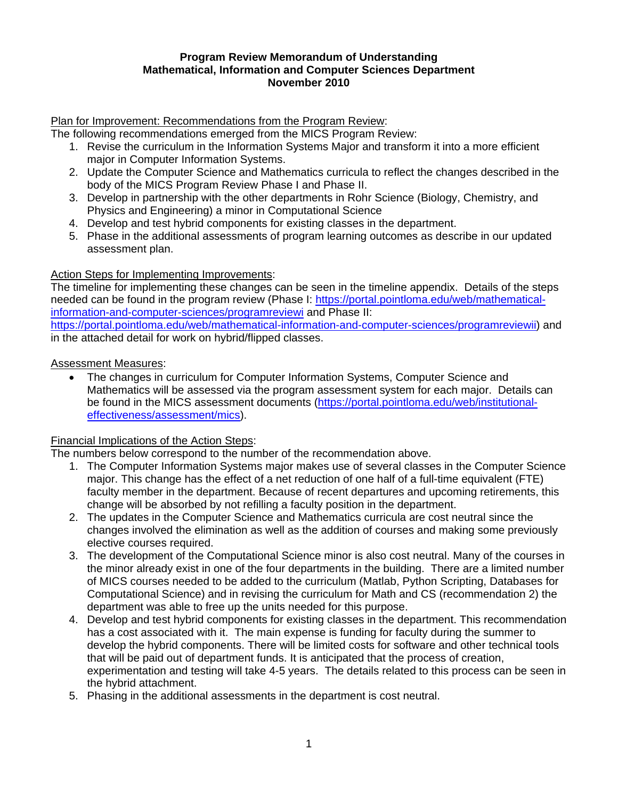#### **Program Review Memorandum of Understanding Mathematical, Information and Computer Sciences Department November 2010**

Plan for Improvement: Recommendations from the Program Review:

The following recommendations emerged from the MICS Program Review:

- 1. Revise the curriculum in the Information Systems Major and transform it into a more efficient major in Computer Information Systems.
- 2. Update the Computer Science and Mathematics curricula to reflect the changes described in the body of the MICS Program Review Phase I and Phase II.
- 3. Develop in partnership with the other departments in Rohr Science (Biology, Chemistry, and Physics and Engineering) a minor in Computational Science
- 4. Develop and test hybrid components for existing classes in the department.
- 5. Phase in the additional assessments of program learning outcomes as describe in our updated assessment plan.

### Action Steps for Implementing Improvements:

The timeline for implementing these changes can be seen in the timeline appendix. Details of the steps needed can be found in the program review (Phase I: https://portal.pointloma.edu/web/mathematicalinformation-and-computer-sciences/programreviewi and Phase II:

https://portal.pointloma.edu/web/mathematical-information-and-computer-sciences/programreviewii) and in the attached detail for work on hybrid/flipped classes.

#### Assessment Measures:

• The changes in curriculum for Computer Information Systems, Computer Science and Mathematics will be assessed via the program assessment system for each major. Details can be found in the MICS assessment documents (https://portal.pointloma.edu/web/institutionaleffectiveness/assessment/mics).

#### Financial Implications of the Action Steps:

The numbers below correspond to the number of the recommendation above.

- 1. The Computer Information Systems major makes use of several classes in the Computer Science major. This change has the effect of a net reduction of one half of a full-time equivalent (FTE) faculty member in the department. Because of recent departures and upcoming retirements, this change will be absorbed by not refilling a faculty position in the department.
- 2. The updates in the Computer Science and Mathematics curricula are cost neutral since the changes involved the elimination as well as the addition of courses and making some previously elective courses required.
- 3. The development of the Computational Science minor is also cost neutral. Many of the courses in the minor already exist in one of the four departments in the building. There are a limited number of MICS courses needed to be added to the curriculum (Matlab, Python Scripting, Databases for Computational Science) and in revising the curriculum for Math and CS (recommendation 2) the department was able to free up the units needed for this purpose.
- 4. Develop and test hybrid components for existing classes in the department. This recommendation has a cost associated with it. The main expense is funding for faculty during the summer to develop the hybrid components. There will be limited costs for software and other technical tools that will be paid out of department funds. It is anticipated that the process of creation, experimentation and testing will take 4-5 years. The details related to this process can be seen in the hybrid attachment.
- 5. Phasing in the additional assessments in the department is cost neutral.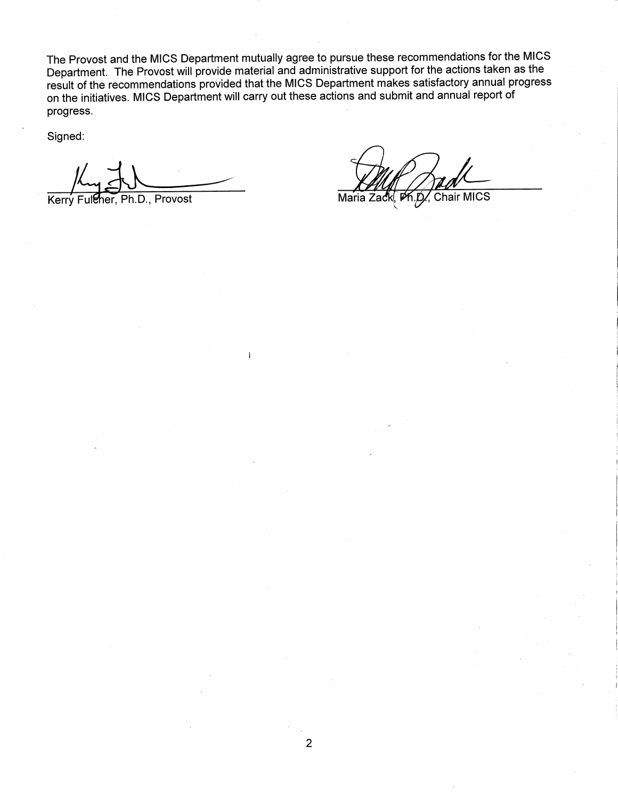The Provost and the MICS Department mutually agree to pursue these recommendations for the MICS Department. The Provost will provide material and administrative support for the actions taken as the result of the recommendations provided that the MICS Department makes satisfactory annual progress on the initiatives. MICS Department will carry out these actions and submit and annual report of progress.

 $\mathbf{I}$ 

Signed:

Ph.D., Provost Kerry Fuleher,

Chair MICS Maria Zac PK.D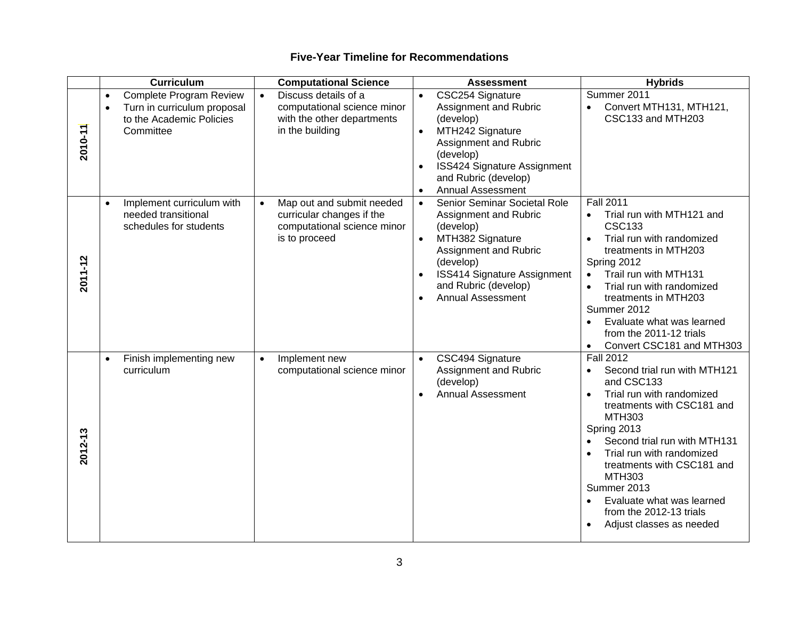|         | <b>Curriculum</b>                                                                                                                | <b>Computational Science</b>                                                                                        | <b>Assessment</b>                                                                                                                                                                                                                                       | <b>Hybrids</b>                                                                                                                                                                                                                                                                                                                                                                                     |
|---------|----------------------------------------------------------------------------------------------------------------------------------|---------------------------------------------------------------------------------------------------------------------|---------------------------------------------------------------------------------------------------------------------------------------------------------------------------------------------------------------------------------------------------------|----------------------------------------------------------------------------------------------------------------------------------------------------------------------------------------------------------------------------------------------------------------------------------------------------------------------------------------------------------------------------------------------------|
| 2010-11 | <b>Complete Program Review</b><br>$\bullet$<br>Turn in curriculum proposal<br>$\bullet$<br>to the Academic Policies<br>Committee | Discuss details of a<br>$\bullet$<br>computational science minor<br>with the other departments<br>in the building   | CSC254 Signature<br>$\bullet$<br>Assignment and Rubric<br>(develop)<br>MTH242 Signature<br>$\bullet$<br>Assignment and Rubric<br>(develop)<br>ISS424 Signature Assignment<br>$\bullet$<br>and Rubric (develop)<br><b>Annual Assessment</b><br>$\bullet$ | Summer 2011<br>Convert MTH131, MTH121,<br>$\bullet$<br>CSC133 and MTH203                                                                                                                                                                                                                                                                                                                           |
| 2011-12 | Implement curriculum with<br>$\bullet$<br>needed transitional<br>schedules for students                                          | Map out and submit needed<br>$\bullet$<br>curricular changes if the<br>computational science minor<br>is to proceed | Senior Seminar Societal Role<br>$\bullet$<br>Assignment and Rubric<br>(develop)<br>MTH382 Signature<br>$\bullet$<br>Assignment and Rubric<br>(develop)<br><b>ISS414 Signature Assignment</b><br>and Rubric (develop)<br><b>Annual Assessment</b>        | <b>Fall 2011</b><br>Trial run with MTH121 and<br>$\bullet$<br><b>CSC133</b><br>Trial run with randomized<br>treatments in MTH203<br>Spring 2012<br>Trail run with MTH131<br>Trial run with randomized<br>$\bullet$<br>treatments in MTH203<br>Summer 2012<br>Evaluate what was learned<br>$\bullet$<br>from the 2011-12 trials<br>Convert CSC181 and MTH303<br>$\bullet$                           |
| 2012-13 | Finish implementing new<br>$\bullet$<br>curriculum                                                                               | Implement new<br>$\bullet$<br>computational science minor                                                           | CSC494 Signature<br>$\bullet$<br>Assignment and Rubric<br>(develop)<br><b>Annual Assessment</b><br>$\bullet$                                                                                                                                            | <b>Fall 2012</b><br>Second trial run with MTH121<br>$\bullet$<br>and CSC133<br>Trial run with randomized<br>$\bullet$<br>treatments with CSC181 and<br><b>MTH303</b><br>Spring 2013<br>Second trial run with MTH131<br>Trial run with randomized<br>treatments with CSC181 and<br><b>MTH303</b><br>Summer 2013<br>Evaluate what was learned<br>from the 2012-13 trials<br>Adjust classes as needed |

#### **Five-Year Timeline for Recommendations**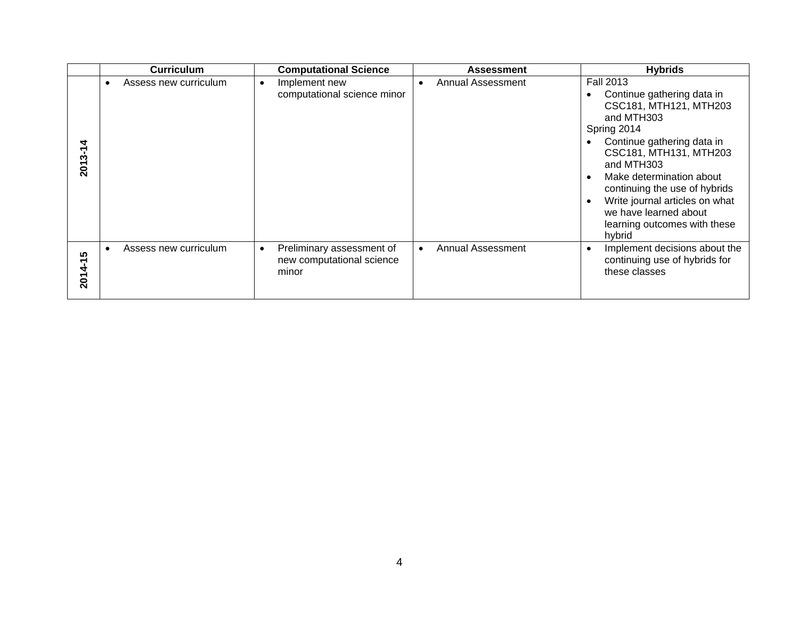|             | <b>Curriculum</b>     |           | <b>Computational Science</b>                                    |           | <b>Assessment</b> | <b>Hybrids</b>                                                                                                                                                                                                                                                                                                                                |
|-------------|-----------------------|-----------|-----------------------------------------------------------------|-----------|-------------------|-----------------------------------------------------------------------------------------------------------------------------------------------------------------------------------------------------------------------------------------------------------------------------------------------------------------------------------------------|
| 2013-1      | Assess new curriculum | $\bullet$ | Implement new<br>computational science minor                    | $\bullet$ | Annual Assessment | <b>Fall 2013</b><br>Continue gathering data in<br>CSC181, MTH121, MTH203<br>and MTH303<br>Spring 2014<br>Continue gathering data in<br>CSC181, MTH131, MTH203<br>and MTH303<br>Make determination about<br>continuing the use of hybrids<br>Write journal articles on what<br>we have learned about<br>learning outcomes with these<br>hybrid |
| ທ<br>2014-1 | Assess new curriculum | $\bullet$ | Preliminary assessment of<br>new computational science<br>minor |           | Annual Assessment | Implement decisions about the<br>continuing use of hybrids for<br>these classes                                                                                                                                                                                                                                                               |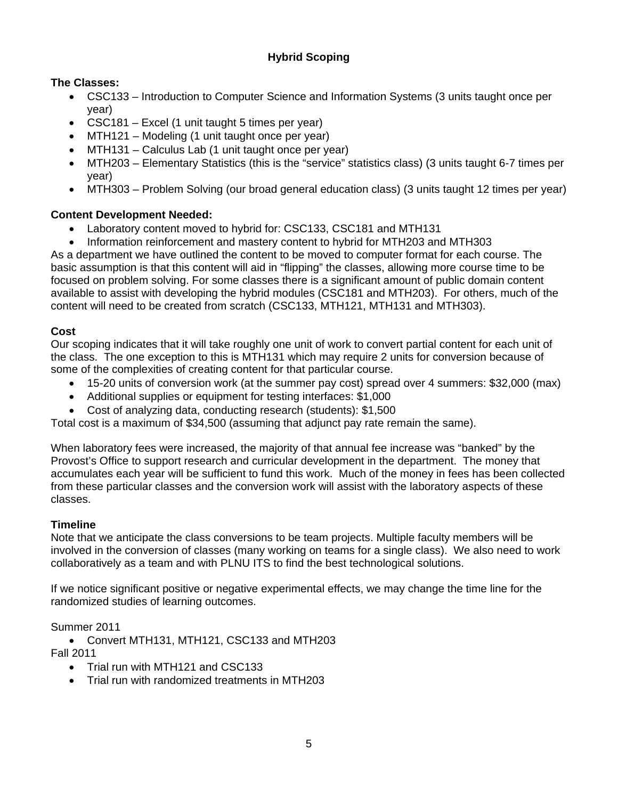# **Hybrid Scoping**

# **The Classes:**

- CSC133 Introduction to Computer Science and Information Systems (3 units taught once per year)
- CSC181 Excel (1 unit taught 5 times per year)
- MTH121 Modeling (1 unit taught once per year)
- MTH131 Calculus Lab (1 unit taught once per year)
- MTH203 Elementary Statistics (this is the "service" statistics class) (3 units taught 6-7 times per year)
- MTH303 Problem Solving (our broad general education class) (3 units taught 12 times per year)

# **Content Development Needed:**

- Laboratory content moved to hybrid for: CSC133, CSC181 and MTH131
- Information reinforcement and mastery content to hybrid for MTH203 and MTH303

As a department we have outlined the content to be moved to computer format for each course. The basic assumption is that this content will aid in "flipping" the classes, allowing more course time to be focused on problem solving. For some classes there is a significant amount of public domain content available to assist with developing the hybrid modules (CSC181 and MTH203). For others, much of the content will need to be created from scratch (CSC133, MTH121, MTH131 and MTH303).

# **Cost**

Our scoping indicates that it will take roughly one unit of work to convert partial content for each unit of the class. The one exception to this is MTH131 which may require 2 units for conversion because of some of the complexities of creating content for that particular course.

- 15-20 units of conversion work (at the summer pay cost) spread over 4 summers: \$32,000 (max)
- Additional supplies or equipment for testing interfaces: \$1,000
- Cost of analyzing data, conducting research (students): \$1,500

Total cost is a maximum of \$34,500 (assuming that adjunct pay rate remain the same).

When laboratory fees were increased, the majority of that annual fee increase was "banked" by the Provost's Office to support research and curricular development in the department. The money that accumulates each year will be sufficient to fund this work. Much of the money in fees has been collected from these particular classes and the conversion work will assist with the laboratory aspects of these classes.

## **Timeline**

Note that we anticipate the class conversions to be team projects. Multiple faculty members will be involved in the conversion of classes (many working on teams for a single class). We also need to work collaboratively as a team and with PLNU ITS to find the best technological solutions.

If we notice significant positive or negative experimental effects, we may change the time line for the randomized studies of learning outcomes.

## Summer 2011

 Convert MTH131, MTH121, CSC133 and MTH203 Fall 2011

- Trial run with MTH121 and CSC133
- Trial run with randomized treatments in MTH203